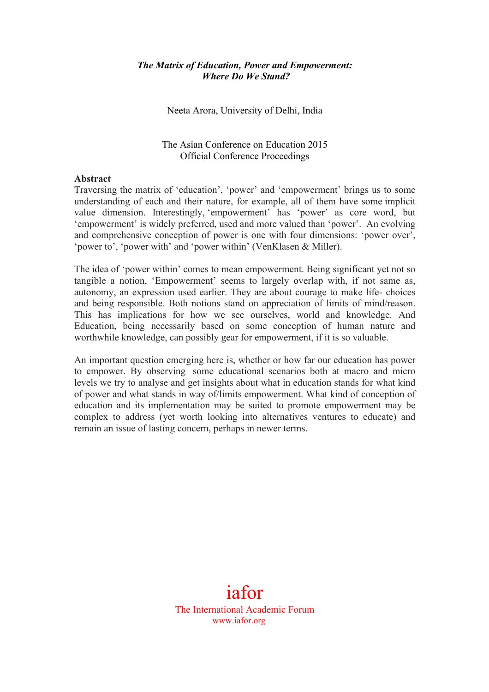## *The Matrix of Education, Power and Empowerment: Where Do We Stand?*

Neeta Arora, University of Delhi, India

The Asian Conference on Education 2015 Official Conference Proceedings

## **Abstract**

Traversing the matrix of 'education', 'power' and 'empowerment' brings us to some understanding of each and their nature, for example, all of them have some implicit value dimension. Interestingly, 'empowerment' has 'power' as core word, but 'empowerment' is widely preferred, used and more valued than 'power'. An evolving and comprehensive conception of power is one with four dimensions: 'power over', 'power to', 'power with' and 'power within' (VenKlasen & Miller).

The idea of 'power within' comes to mean empowerment. Being significant yet not so tangible a notion, 'Empowerment' seems to largely overlap with, if not same as, autonomy, an expression used earlier. They are about courage to make life- choices and being responsible. Both notions stand on appreciation of limits of mind/reason. This has implications for how we see ourselves, world and knowledge. And Education, being necessarily based on some conception of human nature and worthwhile knowledge, can possibly gear for empowerment, if it is so valuable.

An important question emerging here is, whether or how far our education has power to empower. By observing some educational scenarios both at macro and micro levels we try to analyse and get insights about what in education stands for what kind of power and what stands in way of/limits empowerment. What kind of conception of education and its implementation may be suited to promote empowerment may be complex to address (yet worth looking into alternatives ventures to educate) and remain an issue of lasting concern, perhaps in newer terms.

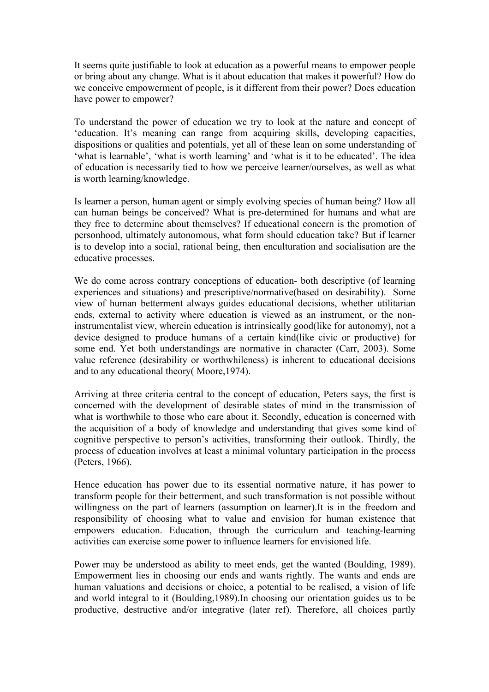It seems quite justifiable to look at education as a powerful means to empower people or bring about any change. What is it about education that makes it powerful? How do we conceive empowerment of people, is it different from their power? Does education have power to empower?

To understand the power of education we try to look at the nature and concept of 'education. It's meaning can range from acquiring skills, developing capacities, dispositions or qualities and potentials, yet all of these lean on some understanding of 'what is learnable', 'what is worth learning' and 'what is it to be educated'. The idea of education is necessarily tied to how we perceive learner/ourselves, as well as what is worth learning/knowledge.

Is learner a person, human agent or simply evolving species of human being? How all can human beings be conceived? What is pre-determined for humans and what are they free to determine about themselves? If educational concern is the promotion of personhood, ultimately autonomous, what form should education take? But if learner is to develop into a social, rational being, then enculturation and socialisation are the educative processes.

We do come across contrary conceptions of education- both descriptive (of learning experiences and situations) and prescriptive/normative(based on desirability). Some view of human betterment always guides educational decisions, whether utilitarian ends, external to activity where education is viewed as an instrument, or the noninstrumentalist view, wherein education is intrinsically good(like for autonomy), not a device designed to produce humans of a certain kind(like civic or productive) for some end. Yet both understandings are normative in character (Carr, 2003). Some value reference (desirability or worthwhileness) is inherent to educational decisions and to any educational theory( Moore,1974).

Arriving at three criteria central to the concept of education, Peters says, the first is concerned with the development of desirable states of mind in the transmission of what is worthwhile to those who care about it. Secondly, education is concerned with the acquisition of a body of knowledge and understanding that gives some kind of cognitive perspective to person's activities, transforming their outlook. Thirdly, the process of education involves at least a minimal voluntary participation in the process (Peters, 1966).

Hence education has power due to its essential normative nature, it has power to transform people for their betterment, and such transformation is not possible without willingness on the part of learners (assumption on learner).It is in the freedom and responsibility of choosing what to value and envision for human existence that empowers education. Education, through the curriculum and teaching-learning activities can exercise some power to influence learners for envisioned life.

Power may be understood as ability to meet ends, get the wanted (Boulding, 1989). Empowerment lies in choosing our ends and wants rightly. The wants and ends are human valuations and decisions or choice, a potential to be realised, a vision of life and world integral to it (Boulding,1989).In choosing our orientation guides us to be productive, destructive and/or integrative (later ref). Therefore, all choices partly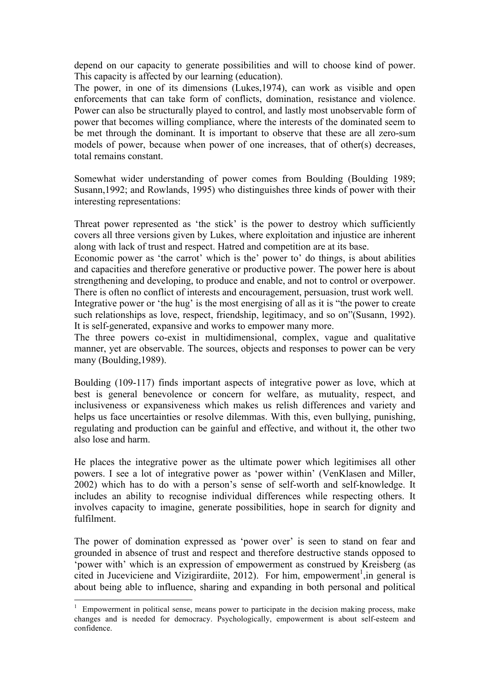depend on our capacity to generate possibilities and will to choose kind of power. This capacity is affected by our learning (education).

The power, in one of its dimensions (Lukes,1974), can work as visible and open enforcements that can take form of conflicts, domination, resistance and violence. Power can also be structurally played to control, and lastly most unobservable form of power that becomes willing compliance, where the interests of the dominated seem to be met through the dominant. It is important to observe that these are all zero-sum models of power, because when power of one increases, that of other(s) decreases, total remains constant.

Somewhat wider understanding of power comes from Boulding (Boulding 1989; Susann,1992; and Rowlands, 1995) who distinguishes three kinds of power with their interesting representations:

Threat power represented as 'the stick' is the power to destroy which sufficiently covers all three versions given by Lukes, where exploitation and injustice are inherent along with lack of trust and respect. Hatred and competition are at its base.

Economic power as 'the carrot' which is the' power to' do things, is about abilities and capacities and therefore generative or productive power. The power here is about strengthening and developing, to produce and enable, and not to control or overpower. There is often no conflict of interests and encouragement, persuasion, trust work well. Integrative power or 'the hug' is the most energising of all as it is "the power to create such relationships as love, respect, friendship, legitimacy, and so on"(Susann, 1992). It is self-generated, expansive and works to empower many more.

The three powers co-exist in multidimensional, complex, vague and qualitative manner, yet are observable. The sources, objects and responses to power can be very many (Boulding,1989).

Boulding (109-117) finds important aspects of integrative power as love, which at best is general benevolence or concern for welfare, as mutuality, respect, and inclusiveness or expansiveness which makes us relish differences and variety and helps us face uncertainties or resolve dilemmas. With this, even bullying, punishing, regulating and production can be gainful and effective, and without it, the other two also lose and harm.

He places the integrative power as the ultimate power which legitimises all other powers. I see a lot of integrative power as 'power within' (VenKlasen and Miller, 2002) which has to do with a person's sense of self-worth and self-knowledge. It includes an ability to recognise individual differences while respecting others. It involves capacity to imagine, generate possibilities, hope in search for dignity and fulfilment.

The power of domination expressed as 'power over' is seen to stand on fear and grounded in absence of trust and respect and therefore destructive stands opposed to 'power with' which is an expression of empowerment as construed by Kreisberg (as cited in Juceviciene and Vizigirardiite,  $2012$ ). For him, empowerment<sup>1</sup>, in general is about being able to influence, sharing and expanding in both personal and political

<sup>1</sup> Empowerment in political sense, means power to participate in the decision making process, make changes and is needed for democracy. Psychologically, empowerment is about self-esteem and confidence.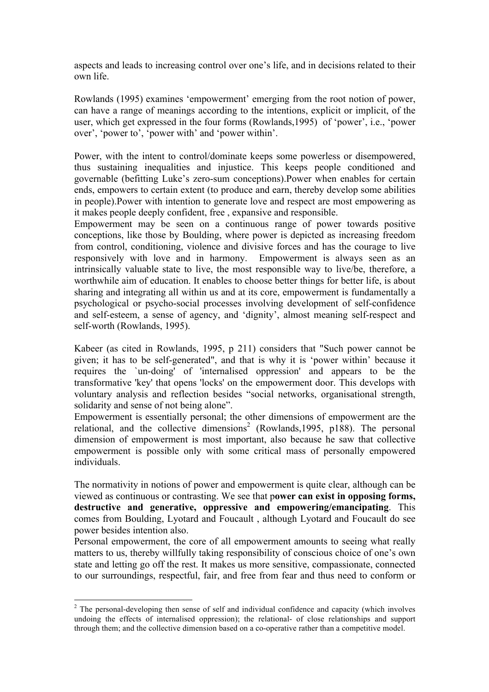aspects and leads to increasing control over one's life, and in decisions related to their own life.

Rowlands (1995) examines 'empowerment' emerging from the root notion of power, can have a range of meanings according to the intentions, explicit or implicit, of the user, which get expressed in the four forms (Rowlands,1995) of 'power', i.e., 'power over', 'power to', 'power with' and 'power within'.

Power, with the intent to control/dominate keeps some powerless or disempowered, thus sustaining inequalities and injustice. This keeps people conditioned and governable (befitting Luke's zero-sum conceptions).Power when enables for certain ends, empowers to certain extent (to produce and earn, thereby develop some abilities in people).Power with intention to generate love and respect are most empowering as it makes people deeply confident, free , expansive and responsible.

Empowerment may be seen on a continuous range of power towards positive conceptions, like those by Boulding, where power is depicted as increasing freedom from control, conditioning, violence and divisive forces and has the courage to live responsively with love and in harmony. Empowerment is always seen as an intrinsically valuable state to live, the most responsible way to live/be, therefore, a worthwhile aim of education. It enables to choose better things for better life, is about sharing and integrating all within us and at its core, empowerment is fundamentally a psychological or psycho-social processes involving development of self-confidence and self-esteem, a sense of agency, and 'dignity', almost meaning self-respect and self-worth (Rowlands, 1995).

Kabeer (as cited in Rowlands, 1995, p 211) considers that "Such power cannot be given; it has to be self-generated", and that is why it is 'power within' because it requires the `un-doing' of 'internalised oppression' and appears to be the transformative 'key' that opens 'locks' on the empowerment door. This develops with voluntary analysis and reflection besides "social networks, organisational strength, solidarity and sense of not being alone".

Empowerment is essentially personal; the other dimensions of empowerment are the relational, and the collective dimensions<sup>2</sup> (Rowlands, 1995, p188). The personal dimension of empowerment is most important, also because he saw that collective empowerment is possible only with some critical mass of personally empowered individuals.

The normativity in notions of power and empowerment is quite clear, although can be viewed as continuous or contrasting. We see that p**ower can exist in opposing forms, destructive and generative, oppressive and empowering/emancipating**. This comes from Boulding, Lyotard and Foucault , although Lyotard and Foucault do see power besides intention also.

Personal empowerment, the core of all empowerment amounts to seeing what really matters to us, thereby willfully taking responsibility of conscious choice of one's own state and letting go off the rest. It makes us more sensitive, compassionate, connected to our surroundings, respectful, fair, and free from fear and thus need to conform or

<sup>&</sup>lt;sup>2</sup> The personal-developing then sense of self and individual confidence and capacity (which involves undoing the effects of internalised oppression); the relational- of close relationships and support through them; and the collective dimension based on a co-operative rather than a competitive model.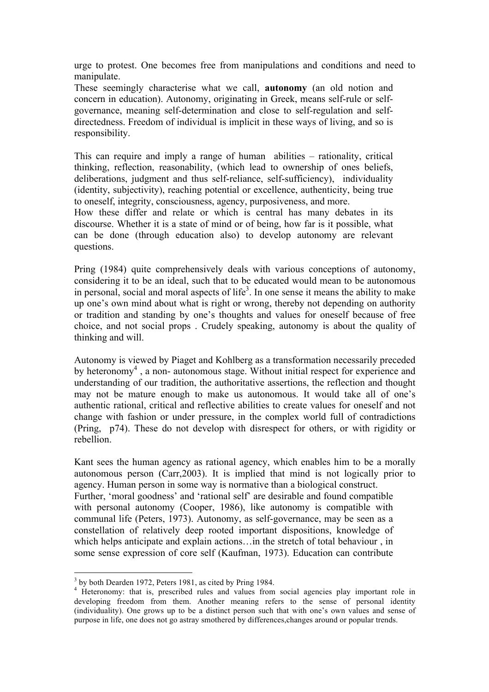urge to protest. One becomes free from manipulations and conditions and need to manipulate.

These seemingly characterise what we call, **autonomy** (an old notion and concern in education). Autonomy, originating in Greek, means self-rule or selfgovernance, meaning self-determination and close to self-regulation and selfdirectedness. Freedom of individual is implicit in these ways of living, and so is responsibility.

This can require and imply a range of human abilities – rationality, critical thinking, reflection, reasonability, (which lead to ownership of ones beliefs, deliberations, judgment and thus self-reliance, self-sufficiency), individuality (identity, subjectivity), reaching potential or excellence, authenticity, being true to oneself, integrity, consciousness, agency, purposiveness, and more.

How these differ and relate or which is central has many debates in its discourse. Whether it is a state of mind or of being, how far is it possible, what can be done (through education also) to develop autonomy are relevant questions.

Pring (1984) quite comprehensively deals with various conceptions of autonomy, considering it to be an ideal, such that to be educated would mean to be autonomous in personal, social and moral aspects of life<sup>3</sup>. In one sense it means the ability to make up one's own mind about what is right or wrong, thereby not depending on authority or tradition and standing by one's thoughts and values for oneself because of free choice, and not social props . Crudely speaking, autonomy is about the quality of thinking and will.

Autonomy is viewed by Piaget and Kohlberg as a transformation necessarily preceded by heteronomy<sup>4</sup>, a non- autonomous stage. Without initial respect for experience and understanding of our tradition, the authoritative assertions, the reflection and thought may not be mature enough to make us autonomous. It would take all of one's authentic rational, critical and reflective abilities to create values for oneself and not change with fashion or under pressure, in the complex world full of contradictions (Pring, p74). These do not develop with disrespect for others, or with rigidity or rebellion.

Kant sees the human agency as rational agency, which enables him to be a morally autonomous person (Carr,2003). It is implied that mind is not logically prior to agency. Human person in some way is normative than a biological construct. Further, 'moral goodness' and 'rational self' are desirable and found compatible with personal autonomy (Cooper, 1986), like autonomy is compatible with communal life (Peters, 1973). Autonomy, as self-governance, may be seen as a constellation of relatively deep rooted important dispositions, knowledge of which helps anticipate and explain actions...in the stretch of total behaviour, in some sense expression of core self (Kaufman, 1973). Education can contribute

 $3$  by both Dearden 1972, Peters 1981, as cited by Pring 1984.<br> $4$  Heteronomy: that is, prescribed rules and values from social agencies play important role in developing freedom from them. Another meaning refers to the sense of personal identity (individuality). One grows up to be a distinct person such that with one's own values and sense of purpose in life, one does not go astray smothered by differences,changes around or popular trends.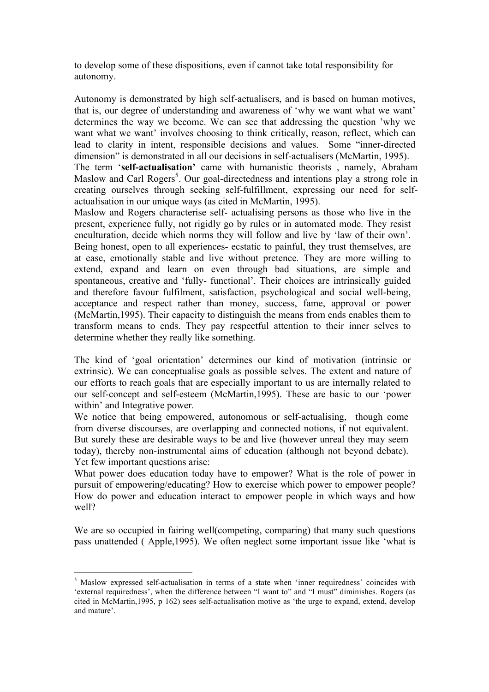to develop some of these dispositions, even if cannot take total responsibility for autonomy.

Autonomy is demonstrated by high self-actualisers, and is based on human motives, that is, our degree of understanding and awareness of 'why we want what we want' determines the way we become. We can see that addressing the question 'why we want what we want' involves choosing to think critically, reason, reflect, which can lead to clarity in intent, responsible decisions and values. Some "inner-directed dimension" is demonstrated in all our decisions in self-actualisers (McMartin, 1995).

The term '**self-actualisation'** came with humanistic theorists , namely, Abraham Maslow and Carl Rogers<sup>5</sup>. Our goal-directedness and intentions play a strong role in creating ourselves through seeking self-fulfillment, expressing our need for selfactualisation in our unique ways (as cited in McMartin, 1995).

Maslow and Rogers characterise self- actualising persons as those who live in the present, experience fully, not rigidly go by rules or in automated mode. They resist enculturation, decide which norms they will follow and live by 'law of their own'. Being honest, open to all experiences- ecstatic to painful, they trust themselves, are at ease, emotionally stable and live without pretence. They are more willing to extend, expand and learn on even through bad situations, are simple and spontaneous, creative and 'fully- functional'. Their choices are intrinsically guided and therefore favour fulfilment, satisfaction, psychological and social well-being, acceptance and respect rather than money, success, fame, approval or power (McMartin,1995). Their capacity to distinguish the means from ends enables them to transform means to ends. They pay respectful attention to their inner selves to determine whether they really like something.

The kind of 'goal orientation' determines our kind of motivation (intrinsic or extrinsic). We can conceptualise goals as possible selves. The extent and nature of our efforts to reach goals that are especially important to us are internally related to our self-concept and self-esteem (McMartin,1995). These are basic to our 'power within' and Integrative power.

We notice that being empowered, autonomous or self-actualising, though come from diverse discourses, are overlapping and connected notions, if not equivalent. But surely these are desirable ways to be and live (however unreal they may seem today), thereby non-instrumental aims of education (although not beyond debate). Yet few important questions arise:

What power does education today have to empower? What is the role of power in pursuit of empowering/educating? How to exercise which power to empower people? How do power and education interact to empower people in which ways and how well?

We are so occupied in fairing well(competing, comparing) that many such questions pass unattended ( Apple,1995). We often neglect some important issue like 'what is

<sup>5</sup> Maslow expressed self-actualisation in terms of a state when 'inner requiredness' coincides with 'external requiredness', when the difference between "I want to" and "I must" diminishes. Rogers (as cited in McMartin,1995, p 162) sees self-actualisation motive as 'the urge to expand, extend, develop and mature'.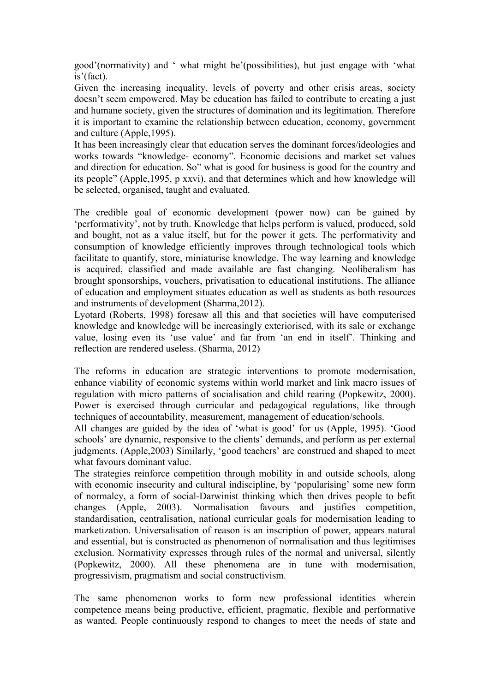good'(normativity) and ' what might be'(possibilities), but just engage with 'what is'(fact).

Given the increasing inequality, levels of poverty and other crisis areas, society doesn't seem empowered. May be education has failed to contribute to creating a just and humane society, given the structures of domination and its legitimation. Therefore it is important to examine the relationship between education, economy, government and culture (Apple,1995).

It has been increasingly clear that education serves the dominant forces/ideologies and works towards "knowledge- economy". Economic decisions and market set values and direction for education. So" what is good for business is good for the country and its people" (Apple,1995, p xxvi), and that determines which and how knowledge will be selected, organised, taught and evaluated.

The credible goal of economic development (power now) can be gained by 'performativity', not by truth. Knowledge that helps perform is valued, produced, sold and bought, not as a value itself, but for the power it gets. The performativity and consumption of knowledge efficiently improves through technological tools which facilitate to quantify, store, miniaturise knowledge. The way learning and knowledge is acquired, classified and made available are fast changing. Neoliberalism has brought sponsorships, vouchers, privatisation to educational institutions. The alliance of education and employment situates education as well as students as both resources and instruments of development (Sharma,2012).

Lyotard (Roberts, 1998) foresaw all this and that societies will have computerised knowledge and knowledge will be increasingly exteriorised, with its sale or exchange value, losing even its 'use value' and far from 'an end in itself'. Thinking and reflection are rendered useless. (Sharma, 2012)

The reforms in education are strategic interventions to promote modernisation, enhance viability of economic systems within world market and link macro issues of regulation with micro patterns of socialisation and child rearing (Popkewitz, 2000). Power is exercised through curricular and pedagogical regulations, like through techniques of accountability, measurement, management of education/schools.

All changes are guided by the idea of 'what is good' for us (Apple, 1995). 'Good schools' are dynamic, responsive to the clients' demands, and perform as per external judgments. (Apple,2003) Similarly, 'good teachers' are construed and shaped to meet what favours dominant value.

The strategies reinforce competition through mobility in and outside schools, along with economic insecurity and cultural indiscipline, by 'popularising' some new form of normalcy, a form of social-Darwinist thinking which then drives people to befit changes (Apple, 2003). Normalisation favours and justifies competition, standardisation, centralisation, national curricular goals for modernisation leading to marketization. Universalisation of reason is an inscription of power, appears natural and essential, but is constructed as phenomenon of normalisation and thus legitimises exclusion. Normativity expresses through rules of the normal and universal, silently (Popkewitz, 2000). All these phenomena are in tune with modernisation, progressivism, pragmatism and social constructivism.

The same phenomenon works to form new professional identities wherein competence means being productive, efficient, pragmatic, flexible and performative as wanted. People continuously respond to changes to meet the needs of state and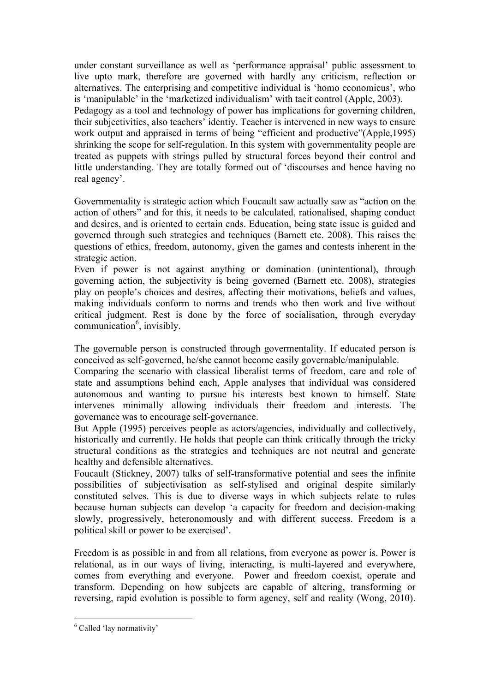under constant surveillance as well as 'performance appraisal' public assessment to live upto mark, therefore are governed with hardly any criticism, reflection or alternatives. The enterprising and competitive individual is 'homo economicus', who is 'manipulable' in the 'marketized individualism' with tacit control (Apple, 2003). Pedagogy as a tool and technology of power has implications for governing children, their subjectivities, also teachers' identiy. Teacher is intervened in new ways to ensure work output and appraised in terms of being "efficient and productive"(Apple,1995) shrinking the scope for self-regulation. In this system with governmentality people are treated as puppets with strings pulled by structural forces beyond their control and little understanding. They are totally formed out of 'discourses and hence having no real agency'.

Governmentality is strategic action which Foucault saw actually saw as "action on the action of others" and for this, it needs to be calculated, rationalised, shaping conduct and desires, and is oriented to certain ends. Education, being state issue is guided and governed through such strategies and techniques (Barnett etc. 2008). This raises the questions of ethics, freedom, autonomy, given the games and contests inherent in the strategic action.

Even if power is not against anything or domination (unintentional), through governing action, the subjectivity is being governed (Barnett etc. 2008), strategies play on people's choices and desires, affecting their motivations, beliefs and values, making individuals conform to norms and trends who then work and live without critical judgment. Rest is done by the force of socialisation, through everyday communication<sup>6</sup>, invisibly.

The governable person is constructed through govermentality. If educated person is conceived as self-governed, he/she cannot become easily governable/manipulable.

Comparing the scenario with classical liberalist terms of freedom, care and role of state and assumptions behind each, Apple analyses that individual was considered autonomous and wanting to pursue his interests best known to himself. State intervenes minimally allowing individuals their freedom and interests. The governance was to encourage self-governance.

But Apple (1995) perceives people as actors/agencies, individually and collectively, historically and currently. He holds that people can think critically through the tricky structural conditions as the strategies and techniques are not neutral and generate healthy and defensible alternatives.

Foucault (Stickney, 2007) talks of self-transformative potential and sees the infinite possibilities of subjectivisation as self-stylised and original despite similarly constituted selves. This is due to diverse ways in which subjects relate to rules because human subjects can develop 'a capacity for freedom and decision-making slowly, progressively, heteronomously and with different success. Freedom is a political skill or power to be exercised'.

Freedom is as possible in and from all relations, from everyone as power is. Power is relational, as in our ways of living, interacting, is multi-layered and everywhere, comes from everything and everyone. Power and freedom coexist, operate and transform. Depending on how subjects are capable of altering, transforming or reversing, rapid evolution is possible to form agency, self and reality (Wong, 2010).

<sup>&</sup>lt;sup>6</sup> Called 'lay normativity'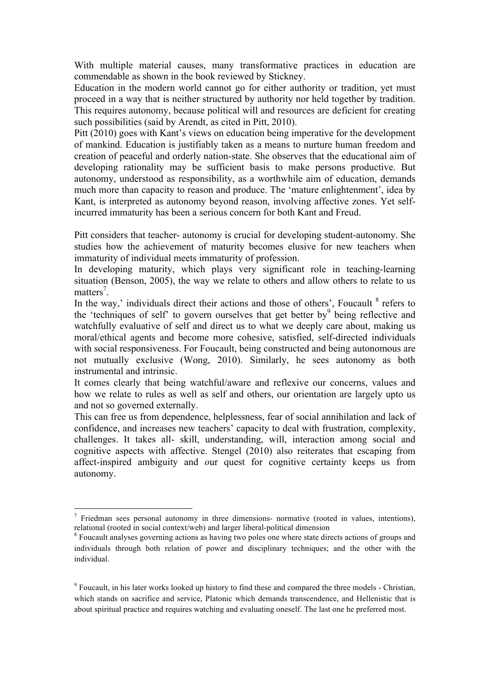With multiple material causes, many transformative practices in education are commendable as shown in the book reviewed by Stickney.

Education in the modern world cannot go for either authority or tradition, yet must proceed in a way that is neither structured by authority nor held together by tradition. This requires autonomy, because political will and resources are deficient for creating such possibilities (said by Arendt, as cited in Pitt, 2010).

Pitt (2010) goes with Kant's views on education being imperative for the development of mankind. Education is justifiably taken as a means to nurture human freedom and creation of peaceful and orderly nation-state. She observes that the educational aim of developing rationality may be sufficient basis to make persons productive. But autonomy, understood as responsibility, as a worthwhile aim of education, demands much more than capacity to reason and produce. The 'mature enlightenment', idea by Kant, is interpreted as autonomy beyond reason, involving affective zones. Yet selfincurred immaturity has been a serious concern for both Kant and Freud.

Pitt considers that teacher- autonomy is crucial for developing student-autonomy. She studies how the achievement of maturity becomes elusive for new teachers when immaturity of individual meets immaturity of profession.

In developing maturity, which plays very significant role in teaching-learning situation (Benson, 2005), the way we relate to others and allow others to relate to us matters<sup>7</sup>.

In the way,' individuals direct their actions and those of others', Foucault  $8$  refers to the 'techniques of self' to govern ourselves that get better by  $9$  being reflective and watchfully evaluative of self and direct us to what we deeply care about, making us moral/ethical agents and become more cohesive, satisfied, self-directed individuals with social responsiveness. For Foucault, being constructed and being autonomous are not mutually exclusive (Wong, 2010). Similarly, he sees autonomy as both instrumental and intrinsic.

It comes clearly that being watchful/aware and reflexive our concerns, values and how we relate to rules as well as self and others, our orientation are largely upto us and not so governed externally.

This can free us from dependence, helplessness, fear of social annihilation and lack of confidence, and increases new teachers' capacity to deal with frustration, complexity, challenges. It takes all- skill, understanding, will, interaction among social and cognitive aspects with affective. Stengel (2010) also reiterates that escaping from affect-inspired ambiguity and *o*ur quest for cognitive certainty keeps us from autonomy.

 $<sup>7</sup>$  Friedman sees personal autonomy in three dimensions- normative (rooted in values, intentions),</sup> relational (rooted in social context/web) and larger liberal-political dimension

<sup>8</sup> Foucault analyses governing actions as having two poles one where state directs actions of groups and individuals through both relation of power and disciplinary techniques; and the other with the individual.

<sup>9</sup> Foucault, in his later works looked up history to find these and compared the three models - Christian, which stands on sacrifice and service, Platonic which demands transcendence, and Hellenistic that is about spiritual practice and requires watching and evaluating oneself. The last one he preferred most.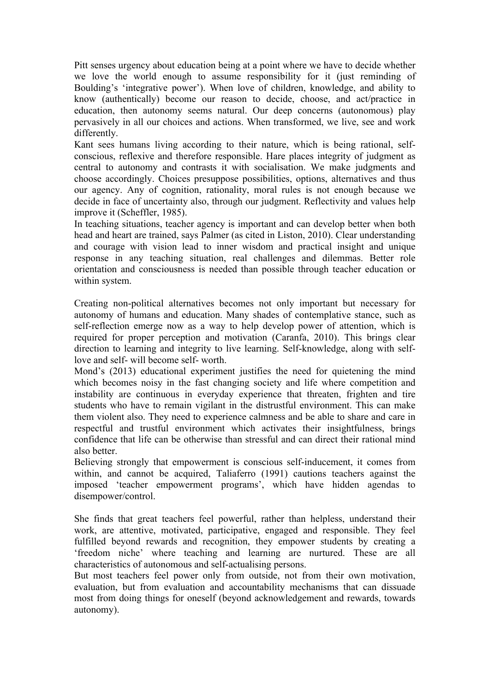Pitt senses urgency about education being at a point where we have to decide whether we love the world enough to assume responsibility for it (just reminding of Boulding's 'integrative power'). When love of children, knowledge, and ability to know (authentically) become our reason to decide, choose, and act/practice in education, then autonomy seems natural. Our deep concerns (autonomous) play pervasively in all our choices and actions. When transformed, we live, see and work differently.

Kant sees humans living according to their nature, which is being rational, selfconscious, reflexive and therefore responsible. Hare places integrity of judgment as central to autonomy and contrasts it with socialisation. We make judgments and choose accordingly. Choices presuppose possibilities, options, alternatives and thus our agency. Any of cognition, rationality, moral rules is not enough because we decide in face of uncertainty also, through our judgment. Reflectivity and values help improve it (Scheffler, 1985).

In teaching situations, teacher agency is important and can develop better when both head and heart are trained, says Palmer (as cited in Liston, 2010). Clear understanding and courage with vision lead to inner wisdom and practical insight and unique response in any teaching situation, real challenges and dilemmas. Better role orientation and consciousness is needed than possible through teacher education or within system.

Creating non-political alternatives becomes not only important but necessary for autonomy of humans and education. Many shades of contemplative stance, such as self-reflection emerge now as a way to help develop power of attention, which is required for proper perception and motivation (Caranfa, 2010). This brings clear direction to learning and integrity to live learning. Self-knowledge, along with selflove and self- will become self- worth.

Mond's (2013) educational experiment justifies the need for quietening the mind which becomes noisy in the fast changing society and life where competition and instability are continuous in everyday experience that threaten, frighten and tire students who have to remain vigilant in the distrustful environment. This can make them violent also. They need to experience calmness and be able to share and care in respectful and trustful environment which activates their insightfulness, brings confidence that life can be otherwise than stressful and can direct their rational mind also better.

Believing strongly that empowerment is conscious self-inducement, it comes from within, and cannot be acquired, Taliaferro (1991) cautions teachers against the imposed 'teacher empowerment programs', which have hidden agendas to disempower/control.

She finds that great teachers feel powerful, rather than helpless, understand their work, are attentive, motivated, participative, engaged and responsible. They feel fulfilled beyond rewards and recognition, they empower students by creating a 'freedom niche' where teaching and learning are nurtured. These are all characteristics of autonomous and self-actualising persons.

But most teachers feel power only from outside, not from their own motivation, evaluation, but from evaluation and accountability mechanisms that can dissuade most from doing things for oneself (beyond acknowledgement and rewards, towards autonomy).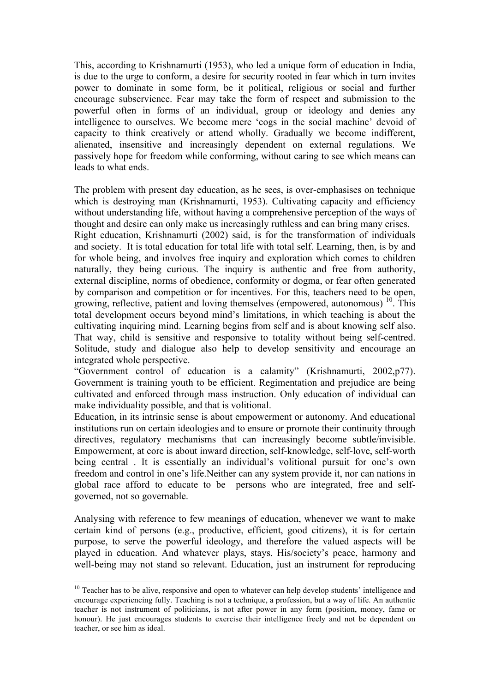This, according to Krishnamurti (1953), who led a unique form of education in India, is due to the urge to conform, a desire for security rooted in fear which in turn invites power to dominate in some form, be it political, religious or social and further encourage subservience. Fear may take the form of respect and submission to the powerful often in forms of an individual, group or ideology and denies any intelligence to ourselves. We become mere 'cogs in the social machine' devoid of capacity to think creatively or attend wholly. Gradually we become indifferent, alienated, insensitive and increasingly dependent on external regulations. We passively hope for freedom while conforming, without caring to see which means can leads to what ends.

The problem with present day education, as he sees, is over-emphasises on technique which is destroying man (Krishnamurti, 1953). Cultivating capacity and efficiency without understanding life, without having a comprehensive perception of the ways of thought and desire can only make us increasingly ruthless and can bring many crises. Right education, Krishnamurti (2002) said, is for the transformation of individuals and society. It is total education for total life with total self. Learning, then, is by and for whole being, and involves free inquiry and exploration which comes to children naturally, they being curious. The inquiry is authentic and free from authority, external discipline, norms of obedience, conformity or dogma, or fear often generated by comparison and competition or for incentives. For this, teachers need to be open, growing, reflective, patient and loving themselves (empowered, autonomous)  $^{10}$ . This total development occurs beyond mind's limitations, in which teaching is about the cultivating inquiring mind. Learning begins from self and is about knowing self also. That way, child is sensitive and responsive to totality without being self-centred. Solitude, study and dialogue also help to develop sensitivity and encourage an integrated whole perspective.

"Government control of education is a calamity" (Krishnamurti, 2002,p77). Government is training youth to be efficient. Regimentation and prejudice are being cultivated and enforced through mass instruction. Only education of individual can make individuality possible, and that is volitional.

Education, in its intrinsic sense is about empowerment or autonomy. And educational institutions run on certain ideologies and to ensure or promote their continuity through directives, regulatory mechanisms that can increasingly become subtle/invisible. Empowerment, at core is about inward direction, self-knowledge, self-love, self-worth being central . It is essentially an individual's volitional pursuit for one's own freedom and control in one's life.Neither can any system provide it, nor can nations in global race afford to educate to be persons who are integrated, free and selfgoverned, not so governable.

Analysing with reference to few meanings of education, whenever we want to make certain kind of persons (e.g., productive, efficient, good citizens), it is for certain purpose, to serve the powerful ideology, and therefore the valued aspects will be played in education. And whatever plays, stays. His/society's peace, harmony and well-being may not stand so relevant. Education, just an instrument for reproducing

<sup>&</sup>lt;sup>10</sup> Teacher has to be alive, responsive and open to whatever can help develop students' intelligence and encourage experiencing fully. Teaching is not a technique, a profession, but a way of life. An authentic teacher is not instrument of politicians, is not after power in any form (position, money, fame or honour). He just encourages students to exercise their intelligence freely and not be dependent on teacher, or see him as ideal.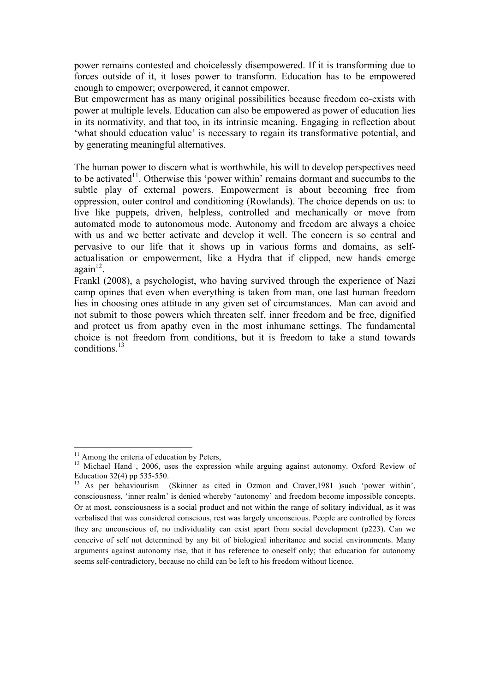power remains contested and choicelessly disempowered. If it is transforming due to forces outside of it, it loses power to transform. Education has to be empowered enough to empower; overpowered, it cannot empower.

But empowerment has as many original possibilities because freedom co-exists with power at multiple levels. Education can also be empowered as power of education lies in its normativity, and that too, in its intrinsic meaning. Engaging in reflection about 'what should education value' is necessary to regain its transformative potential, and by generating meaningful alternatives.

The human power to discern what is worthwhile, his will to develop perspectives need to be activated<sup> $11$ </sup>. Otherwise this 'power within' remains dormant and succumbs to the subtle play of external powers. Empowerment is about becoming free from oppression, outer control and conditioning (Rowlands). The choice depends on us: to live like puppets, driven, helpless, controlled and mechanically or move from automated mode to autonomous mode. Autonomy and freedom are always a choice with us and we better activate and develop it well. The concern is so central and pervasive to our life that it shows up in various forms and domains, as selfactualisation or empowerment, like a Hydra that if clipped, new hands emerge  $a\varrho\sin^{12}$ .

Frankl (2008), a psychologist, who having survived through the experience of Nazi camp opines that even when everything is taken from man, one last human freedom lies in choosing ones attitude in any given set of circumstances. Man can avoid and not submit to those powers which threaten self, inner freedom and be free, dignified and protect us from apathy even in the most inhumane settings. The fundamental choice is not freedom from conditions, but it is freedom to take a stand towards conditions.<sup>13</sup>

<sup>&</sup>lt;sup>11</sup> Among the criteria of education by Peters,

<sup>&</sup>lt;sup>12</sup> Michael Hand , 2006, uses the expression while arguing against autonomy. Oxford Review of Education 32(4) pp 535-550.

<sup>&</sup>lt;sup>13</sup> As per behaviourism (Skinner as cited in Ozmon and Craver, 1981 )such 'power within', consciousness, 'inner realm' is denied whereby 'autonomy' and freedom become impossible concepts. Or at most, consciousness is a social product and not within the range of solitary individual, as it was verbalised that was considered conscious, rest was largely unconscious. People are controlled by forces they are unconscious of, no individuality can exist apart from social development (p223). Can we conceive of self not determined by any bit of biological inheritance and social environments. Many arguments against autonomy rise, that it has reference to oneself only; that education for autonomy seems self-contradictory, because no child can be left to his freedom without licence.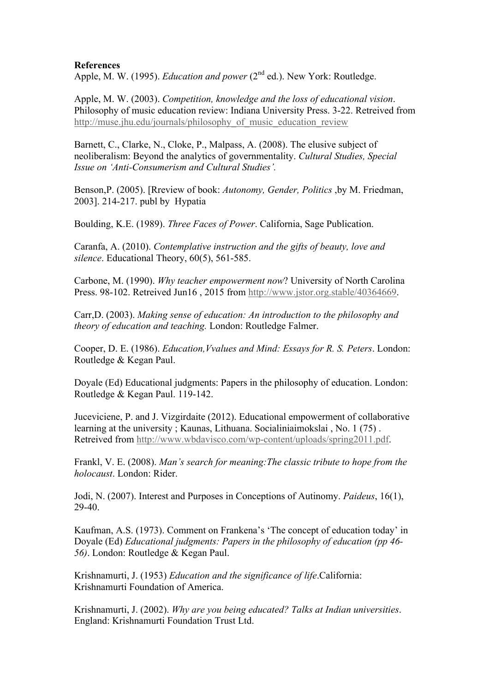## **References**

Apple, M. W. (1995). *Education and power* (2<sup>nd</sup> ed.). New York: Routledge.

Apple, M. W. (2003). *Competition, knowledge and the loss of educational vision*. Philosophy of music education review: Indiana University Press. 3-22. Retreived from http://muse.jhu.edu/journals/philosophy\_of\_music\_education\_review\_

Barnett, C., Clarke, N., Cloke, P., Malpass, A. (2008). The elusive subject of neoliberalism: Beyond the analytics of governmentality. *Cultural Studies, Special Issue on 'Anti-Consumerism and Cultural Studies'.*

Benson,P. (2005). [Rreview of book: *Autonomy, Gender, Politics* ,by M. Friedman, 2003]. 214-217. publ by Hypatia

Boulding, K.E. (1989). *Three Faces of Power*. California, Sage Publication.

Caranfa, A. (2010). *Contemplative instruction and the gifts of beauty, love and silence*. Educational Theory, 60(5), 561-585.

Carbone, M. (1990). *Why teacher empowerment now*? University of North Carolina Press. 98-102. Retreived Jun16 , 2015 from http://www.jstor.org.stable/40364669.

Carr,D. (2003). *Making sense of education: An introduction to the philosophy and theory of education and teaching.* London: Routledge Falmer.

Cooper, D. E. (1986). *Education,Vvalues and Mind: Essays for R. S. Peters*. London: Routledge & Kegan Paul.

Doyale (Ed) Educational judgments: Papers in the philosophy of education. London: Routledge & Kegan Paul. 119-142.

Juceviciene, P. and J. Vizgirdaite (2012). Educational empowerment of collaborative learning at the university ; Kaunas, Lithuana. Socialiniaimokslai , No. 1 (75) . Retreived from http://www.wbdavisco.com/wp-content/uploads/spring2011.pdf.

Frankl, V. E. (2008). *Man's search for meaning:The classic tribute to hope from the holocaust*. London: Rider.

Jodi, N. (2007). Interest and Purposes in Conceptions of Autinomy. *Paideus*, 16(1), 29-40.

Kaufman, A.S. (1973). Comment on Frankena's 'The concept of education today' in Doyale (Ed) *Educational judgments: Papers in the philosophy of education (pp 46- 56)*. London: Routledge & Kegan Paul.

Krishnamurti, J. (1953) *Education and the significance of life*.California: Krishnamurti Foundation of America.

Krishnamurti, J. (2002). *Why are you being educated? Talks at Indian universities*. England: Krishnamurti Foundation Trust Ltd.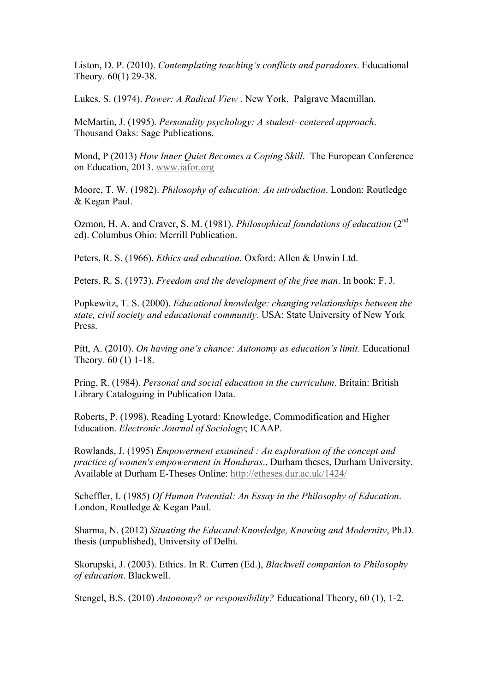Liston, D. P. (2010). *Contemplating teaching's conflicts and paradoxes*. Educational Theory. 60(1) 29-38.

Lukes, S. (1974). *Power: A Radical View* . New York, Palgrave Macmillan.

McMartin, J. (1995). *Personality psychology: A student- centered approach*. Thousand Oaks: Sage Publications.

Mond, P (2013) *How Inner Quiet Becomes a Coping Skill*. The European Conference on Education, 2013. www.iafor.org

Moore, T. W. (1982). *Philosophy of education: An introduction*. London: Routledge & Kegan Paul.

Ozmon, H. A. and Craver, S. M. (1981). *Philosophical foundations of education* (2nd ed). Columbus Ohio: Merrill Publication.

Peters, R. S. (1966). *Ethics and education*. Oxford: Allen & Unwin Ltd.

Peters, R. S. (1973). *Freedom and the development of the free man*. In book: F. J.

Popkewitz, T. S. (2000). *Educational knowledge: changing relationships between the state, civil society and educational community*. USA: State University of New York Press.

Pitt, A. (2010). *On having one's chance: Autonomy as education's limit*. Educational Theory. 60 (1) 1-18.

Pring, R. (1984). *Personal and social education in the curriculum*. Britain: British Library Cataloguing in Publication Data.

Roberts, P. (1998). Reading Lyotard: Knowledge, Commodification and Higher Education. *Electronic Journal of Sociology*; ICAAP.

Rowlands, J. (1995) *Empowerment examined : An exploration of the concept and practice of women's empowerment in Honduras*., Durham theses, Durham University. Available at Durham E-Theses Online: http://etheses.dur.ac.uk/1424/

Scheffler, I. (1985) *Of Human Potential: An Essay in the Philosophy of Education*. London, Routledge & Kegan Paul.

Sharma, N. (2012) *Situating the Educand:Knowledge, Knowing and Modernity*, Ph.D. thesis (unpublished), University of Delhi.

Skorupski, J. (2003). Ethics. In R. Curren (Ed.), *Blackwell companion to Philosophy of education*. Blackwell.

Stengel, B.S. (2010) *Autonomy? or responsibility?* Educational Theory, 60 (1), 1-2.